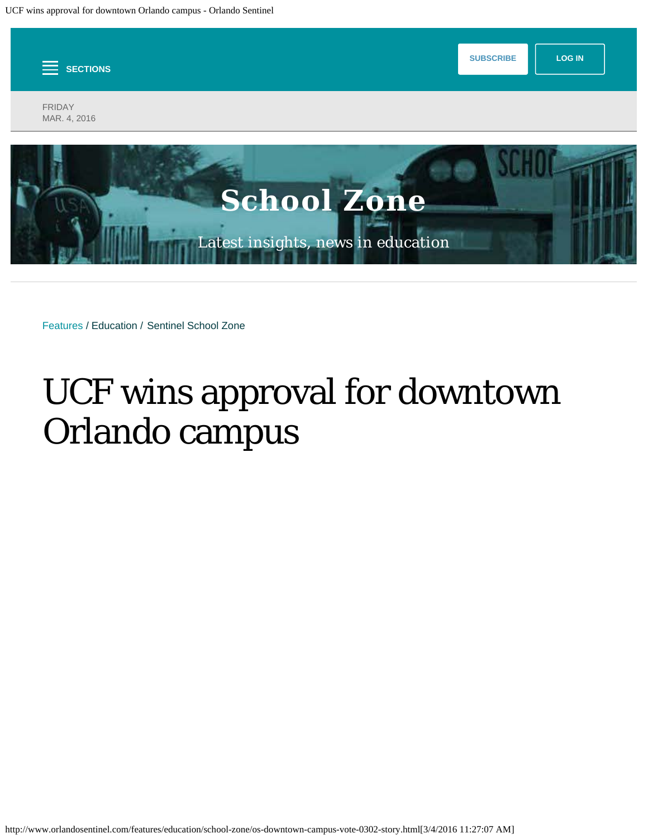<span id="page-0-0"></span>

Features / Education / Sentinel School Zone

## UCF wins approval for downtown Orlando campus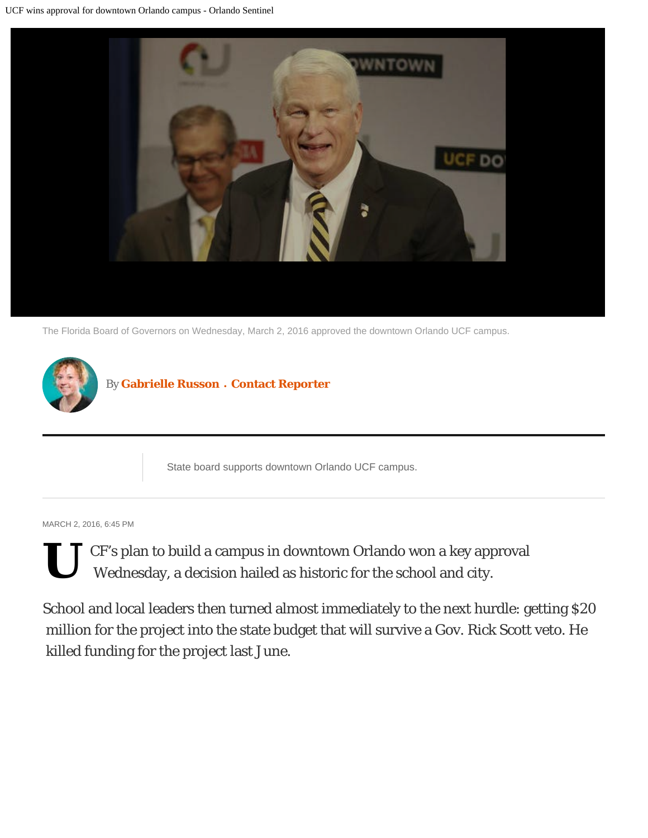

The Florida Board of Governors on Wednesday, March 2, 2016 approved the downtown Orlando UCF campus.



State board supports downtown Orlando UCF campus.

MARCH 2, 2016, 6:45 PM

**U** CF's plan to build a campus in downtown Orlando won a key approval Wednesday, a decision hailed as historic for the school and city.

School and local leaders then turned almost immediately to the next hurdle: getting \$20 million for the project into the state budget that will survive a Gov. Rick Scott veto. He killed funding for the project last June.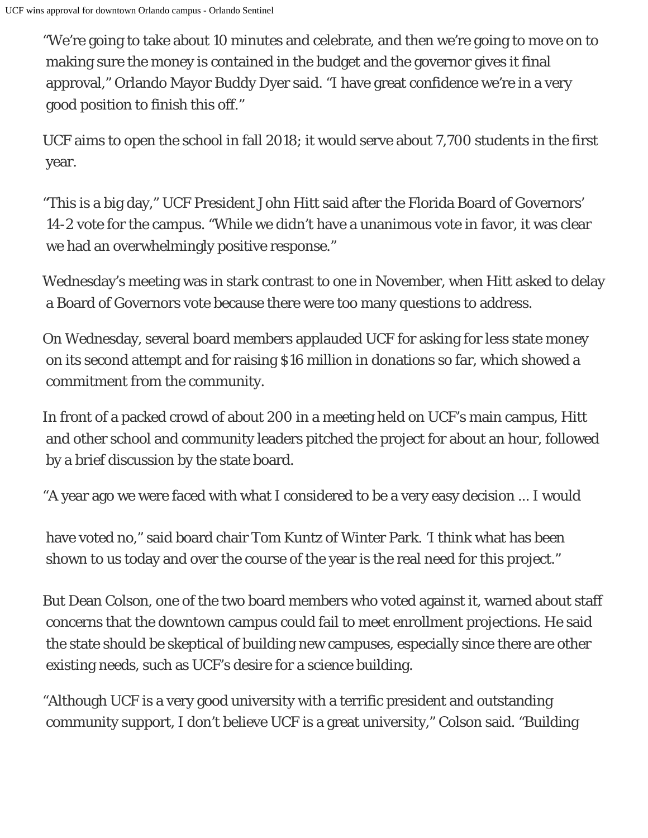"We're going to take about 10 minutes and celebrate, and then we're going to move on to making sure the money is contained in the budget and the governor gives it final approval," Orlando Mayor Buddy Dyer said. "I have great confidence we're in a very good position to finish this off."

UCF aims to open the school in fall 2018; it would serve about 7,700 students in the first year.

"This is a big day," UCF President John Hitt said after the Florida Board of Governors' 14-2 vote for the campus. "While we didn't have a unanimous vote in favor, it was clear we had an overwhelmingly positive response."

Wednesday's meeting was in stark contrast to one in November, when Hitt asked to delay a Board of Governors vote because there were too many questions to address.

On Wednesday, several board members applauded UCF for asking for less state money on its second attempt and for raising \$16 million in donations so far, which showed a commitment from the community.

In front of a packed crowd of about 200 in a meeting held on UCF's main campus, Hitt and other school and community leaders pitched the project for about an hour, followed by a brief discussion by the state board.

"A year ago we were faced with what I considered to be a very easy decision ... I would

 have voted no," said board chair Tom Kuntz of Winter Park. 'I think what has been shown to us today and over the course of the year is the real need for this project."

But Dean Colson, one of the two board members who voted against it, warned about staff concerns that the downtown campus could fail to meet enrollment projections. He said the state should be skeptical of building new campuses, especially since there are other existing needs, such as UCF's desire for a science building.

"Although UCF is a very good university with a terrific president and outstanding community support, I don't believe UCF is a great university," Colson said. "Building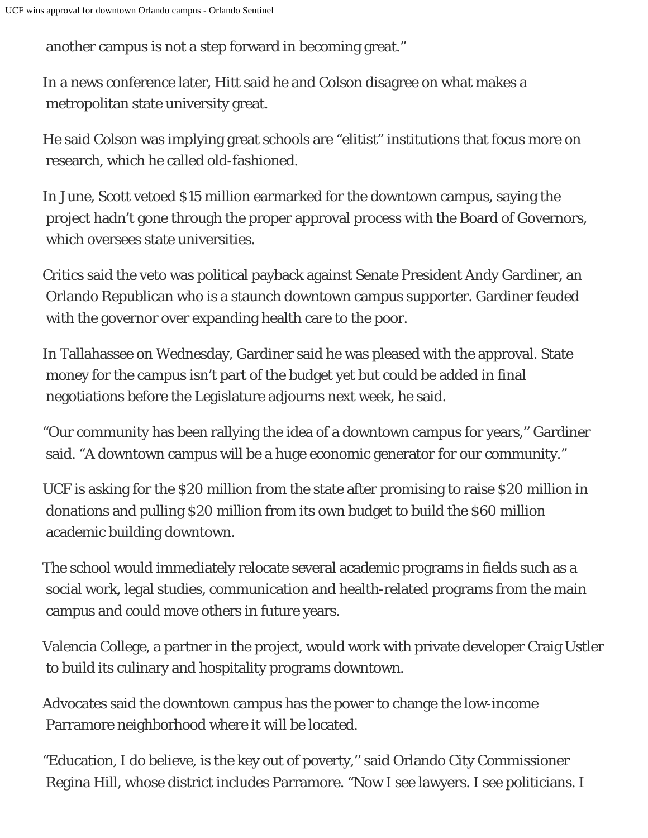another campus is not a step forward in becoming great."

In a news conference later, Hitt said he and Colson disagree on what makes a metropolitan state university great.

He said Colson was implying great schools are "elitist" institutions that focus more on research, which he called old-fashioned.

In June, Scott vetoed \$15 million earmarked for the downtown campus, saying the project hadn't gone through the proper approval process with the Board of Governors, which oversees state universities.

Critics said the veto was political payback against Senate President Andy Gardiner, an Orlando Republican who is a staunch downtown campus supporter. Gardiner feuded with the governor over expanding health care to the poor.

In Tallahassee on Wednesday, Gardiner said he was pleased with the approval. State money for the campus isn't part of the budget yet but could be added in final negotiations before the Legislature adjourns next week, he said.

"Our community has been rallying the idea of a downtown campus for years,'' Gardiner said. "A downtown campus will be a huge economic generator for our community."

UCF is asking for the \$20 million from the state after promising to raise \$20 million in donations and pulling \$20 million from its own budget to build the \$60 million academic building downtown.

The school would immediately relocate several academic programs in fields such as a social work, legal studies, communication and health-related programs from the main campus and could move others in future years.

Valencia College, a partner in the project, would work with private developer Craig Ustler to build its culinary and hospitality programs downtown.

Advocates said the downtown campus has the power to change the low-income Parramore neighborhood where it will be located.

"Education, I do believe, is the key out of poverty,'' said Orlando City Commissioner Regina Hill, whose district includes Parramore. "Now I see lawyers. I see politicians. I